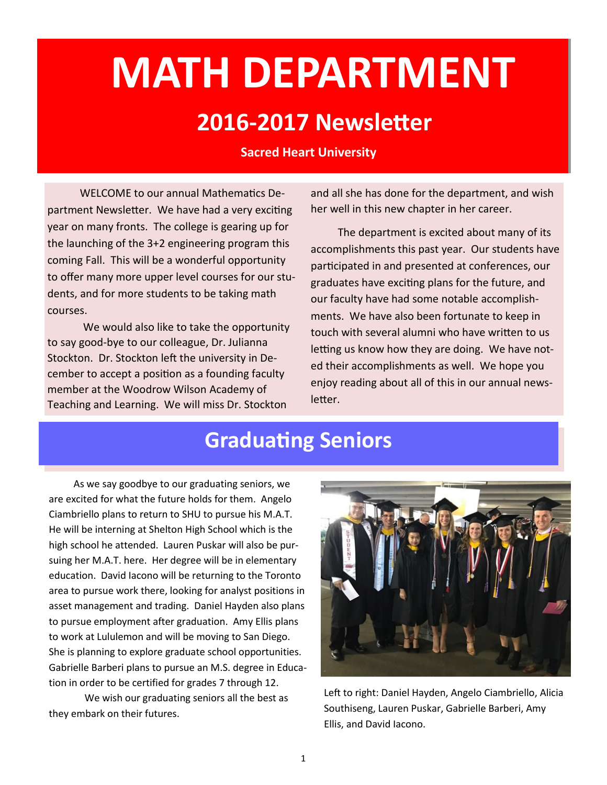# **MATH DEPARTMENT**

#### **2016-2017 Newsletter**

#### **Sacred Heart University**

 WELCOME to our annual Mathematics Department Newsletter. We have had a very exciting year on many fronts. The college is gearing up for the launching of the 3+2 engineering program this coming Fall. This will be a wonderful opportunity to offer many more upper level courses for our students, and for more students to be taking math courses.

We would also like to take the opportunity to say good-bye to our colleague, Dr. Julianna Stockton. Dr. Stockton left the university in December to accept a position as a founding faculty member at the Woodrow Wilson Academy of Teaching and Learning. We will miss Dr. Stockton

and all she has done for the department, and wish her well in this new chapter in her career.

 The department is excited about many of its accomplishments this past year. Our students have participated in and presented at conferences, our graduates have exciting plans for the future, and our faculty have had some notable accomplishments. We have also been fortunate to keep in touch with several alumni who have written to us letting us know how they are doing. We have noted their accomplishments as well. We hope you enjoy reading about all of this in our annual newsletter.

#### **Graduating Seniors**

 As we say goodbye to our graduating seniors, we are excited for what the future holds for them. Angelo Ciambriello plans to return to SHU to pursue his M.A.T. He will be interning at Shelton High School which is the high school he attended. Lauren Puskar will also be pursuing her M.A.T. here. Her degree will be in elementary education. David Iacono will be returning to the Toronto area to pursue work there, looking for analyst positions in asset management and trading. Daniel Hayden also plans to pursue employment after graduation. Amy Ellis plans to work at Lululemon and will be moving to San Diego. She is planning to explore graduate school opportunities. Gabrielle Barberi plans to pursue an M.S. degree in Education in order to be certified for grades 7 through 12.

We wish our graduating seniors all the best as they embark on their futures.



Left to right: Daniel Hayden, Angelo Ciambriello, Alicia Southiseng, Lauren Puskar, Gabrielle Barberi, Amy Ellis, and David Iacono.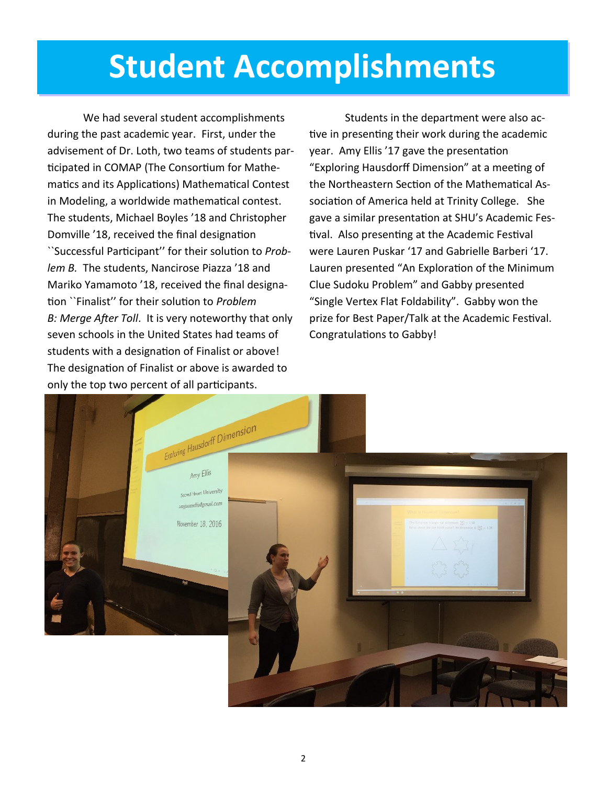## **Student Accomplishments**

We had several student accomplishments during the past academic year. First, under the advisement of Dr. Loth, two teams of students participated in COMAP (The Consortium for Mathematics and its Applications) Mathematical Contest in Modeling, a worldwide mathematical contest. The students, Michael Boyles '18 and Christopher Domville '18, received the final designation ``Successful Participant'' for their solution to *Problem B.* The students, Nancirose Piazza '18 and Mariko Yamamoto '18, received the final designation ``Finalist'' for their solution to *Problem B: Merge After Toll*. It is very noteworthy that only seven schools in the United States had teams of students with a designation of Finalist or above! The designation of Finalist or above is awarded to only the top two percent of all participants.

Students in the department were also active in presenting their work during the academic year. Amy Ellis '17 gave the presentation "Exploring Hausdorff Dimension" at a meeting of the Northeastern Section of the Mathematical Association of America held at Trinity College. She gave a similar presentation at SHU's Academic Festival. Also presenting at the Academic Festival were Lauren Puskar '17 and Gabrielle Barberi '17. Lauren presented "An Exploration of the Minimum Clue Sudoku Problem" and Gabby presented "Single Vertex Flat Foldability". Gabby won the prize for Best Paper/Talk at the Academic Festival. Congratulations to Gabby!

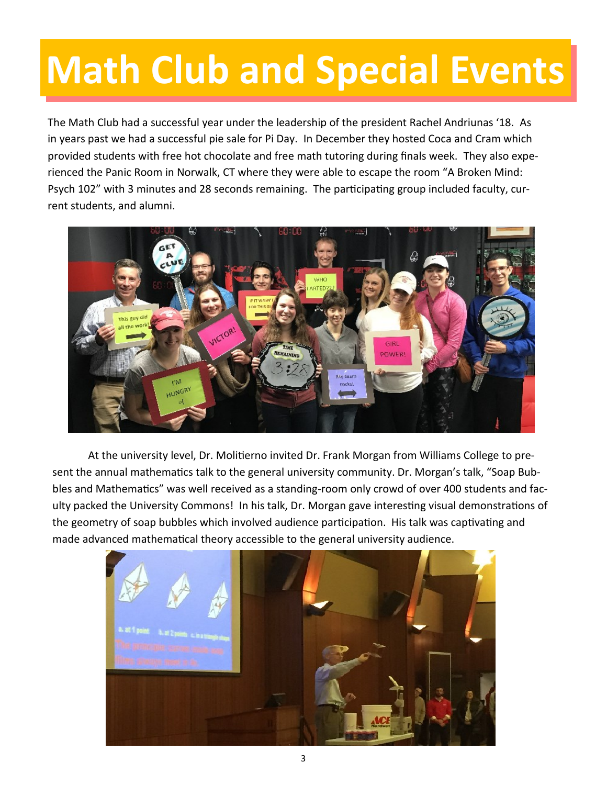# **Math Club and Special Events**

The Math Club had a successful year under the leadership of the president Rachel Andriunas '18. As in years past we had a successful pie sale for Pi Day. In December they hosted Coca and Cram which provided students with free hot chocolate and free math tutoring during finals week. They also experienced the Panic Room in Norwalk, CT where they were able to escape the room "A Broken Mind: Psych 102" with 3 minutes and 28 seconds remaining. The participating group included faculty, current students, and alumni.



At the university level, Dr. Molitierno invited Dr. Frank Morgan from Williams College to present the annual mathematics talk to the general university community. Dr. Morgan's talk, "Soap Bubbles and Mathematics" was well received as a standing-room only crowd of over 400 students and faculty packed the University Commons! In his talk, Dr. Morgan gave interesting visual demonstrations of the geometry of soap bubbles which involved audience participation. His talk was captivating and made advanced mathematical theory accessible to the general university audience.

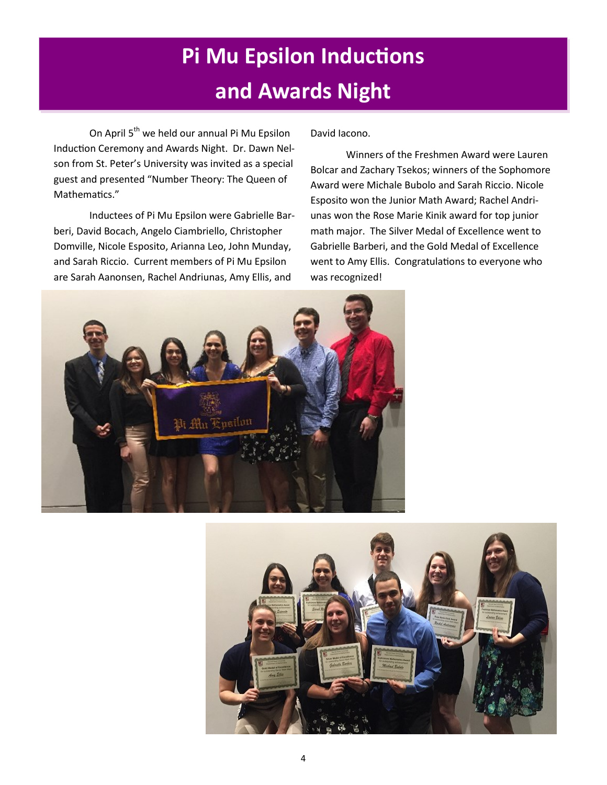### **Pi Mu Epsilon Inductions and Awards Night**

On April 5<sup>th</sup> we held our annual Pi Mu Epsilon Induction Ceremony and Awards Night. Dr. Dawn Nelson from St. Peter's University was invited as a special guest and presented "Number Theory: The Queen of Mathematics."

Inductees of Pi Mu Epsilon were Gabrielle Barberi, David Bocach, Angelo Ciambriello, Christopher Domville, Nicole Esposito, Arianna Leo, John Munday, and Sarah Riccio. Current members of Pi Mu Epsilon are Sarah Aanonsen, Rachel Andriunas, Amy Ellis, and

David Iacono.

Winners of the Freshmen Award were Lauren Bolcar and Zachary Tsekos; winners of the Sophomore Award were Michale Bubolo and Sarah Riccio. Nicole Esposito won the Junior Math Award; Rachel Andriunas won the Rose Marie Kinik award for top junior math major. The Silver Medal of Excellence went to Gabrielle Barberi, and the Gold Medal of Excellence went to Amy Ellis. Congratulations to everyone who was recognized!



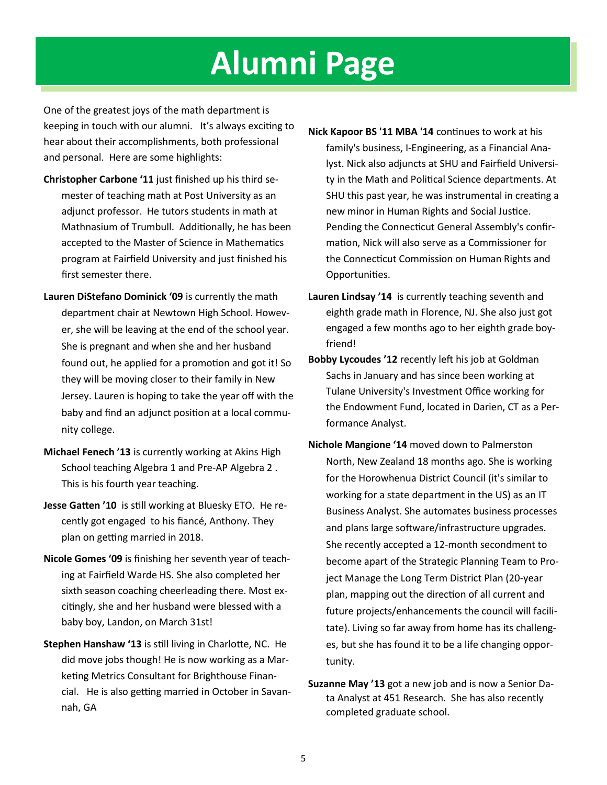### **Alumni Page**

One of the greatest joys of the math department is keeping in touch with our alumni. It's always exciting to hear about their accomplishments, both professional and personal. Here are some highlights:

- **Christopher Carbone '11** just finished up his third semester of teaching math at Post University as an adjunct professor. He tutors students in math at Mathnasium of Trumbull. Additionally, he has been accepted to the Master of Science in Mathematics program at Fairfield University and just finished his first semester there.
- **Lauren DiStefano Dominick '09** is currently the math department chair at Newtown High School. However, she will be leaving at the end of the school year. She is pregnant and when she and her husband found out, he applied for a promotion and got it! So they will be moving closer to their family in New Jersey. Lauren is hoping to take the year off with the baby and find an adjunct position at a local community college.
- **Michael Fenech '13** is currently working at Akins High School teaching Algebra 1 and Pre-AP Algebra 2 . This is his fourth year teaching.
- **Jesse Gatten '10** is still working at Bluesky ETO. He recently got engaged to his fiancé, Anthony. They plan on getting married in 2018.
- **Nicole Gomes '09** is finishing her seventh year of teaching at Fairfield Warde HS. She also completed her sixth season coaching cheerleading there. Most excitingly, she and her husband were blessed with a baby boy, Landon, on March 31st!
- **Stephen Hanshaw '13** is still living in Charlotte, NC. He did move jobs though! He is now working as a Marketing Metrics Consultant for Brighthouse Financial. He is also getting married in October in Savannah, GA
- **Nick Kapoor BS '11 MBA '14** continues to work at his family's business, I-Engineering, as a Financial Analyst. Nick also adjuncts at SHU and Fairfield University in the Math and Political Science departments. At SHU this past year, he was instrumental in creating a new minor in Human Rights and Social Justice. Pending the Connecticut General Assembly's confirmation, Nick will also serve as a Commissioner for the Connecticut Commission on Human Rights and Opportunities.
- **Lauren Lindsay '14** is currently teaching seventh and eighth grade math in Florence, NJ. She also just got engaged a few months ago to her eighth grade boyfriend!
- **Bobby Lycoudes '12** recently left his job at Goldman Sachs in January and has since been working at Tulane University's Investment Office working for the Endowment Fund, located in Darien, CT as a Performance Analyst.
- **Nichole Mangione '14** moved down to Palmerston North, New Zealand 18 months ago. She is working for the Horowhenua District Council (it's similar to working for a state department in the US) as an IT Business Analyst. She automates business processes and plans large software/infrastructure upgrades. She recently accepted a 12-month secondment to become apart of the Strategic Planning Team to Project Manage the Long Term District Plan (20-year plan, mapping out the direction of all current and future projects/enhancements the council will facilitate). Living so far away from home has its challenges, but she has found it to be a life changing opportunity.
- **Suzanne May '13** got a new job and is now a Senior Data Analyst at 451 Research. She has also recently completed graduate school.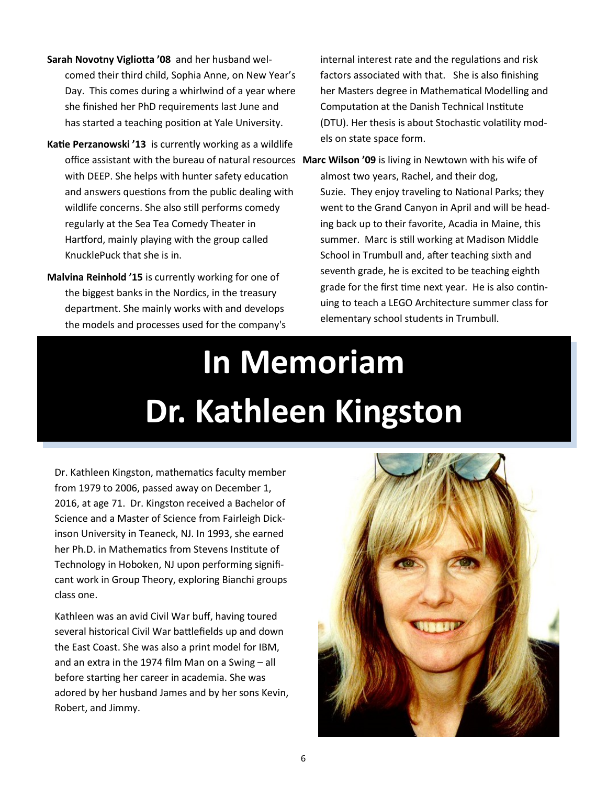- **Sarah Novotny Vigliotta '08** and her husband welcomed their third child, Sophia Anne, on New Year's Day. This comes during a whirlwind of a year where she finished her PhD requirements last June and has started a teaching position at Yale University.
- **Katie Perzanowski '13** is currently working as a wildlife with DEEP. She helps with hunter safety education and answers questions from the public dealing with wildlife concerns. She also still performs comedy regularly at the Sea Tea Comedy Theater in Hartford, mainly playing with the group called KnucklePuck that she is in.
- **Malvina Reinhold '15** is currently working for one of the biggest banks in the Nordics, in the treasury department. She mainly works with and develops the models and processes used for the company's

internal interest rate and the regulations and risk factors associated with that. She is also finishing her Masters degree in Mathematical Modelling and Computation at the Danish Technical Institute (DTU). Her thesis is about Stochastic volatility models on state space form.

office assistant with the bureau of natural resources **Marc Wilson '09** is living in Newtown with his wife of almost two years, Rachel, and their dog, Suzie. They enjoy traveling to National Parks; they went to the Grand Canyon in April and will be heading back up to their favorite, Acadia in Maine, this summer. Marc is still working at Madison Middle School in Trumbull and, after teaching sixth and seventh grade, he is excited to be teaching eighth grade for the first time next year. He is also continuing to teach a LEGO Architecture summer class for elementary school students in Trumbull.

# **In Memoriam Dr. Kathleen Kingston**

Dr. Kathleen Kingston, mathematics faculty member from 1979 to 2006, passed away on December 1, 2016, at age 71. Dr. Kingston received a Bachelor of Science and a Master of Science from Fairleigh Dickinson University in Teaneck, NJ. In 1993, she earned her Ph.D. in Mathematics from Stevens Institute of Technology in Hoboken, NJ upon performing significant work in Group Theory, exploring Bianchi groups class one.

Kathleen was an avid Civil War buff, having toured several historical Civil War battlefields up and down the East Coast. She was also a print model for IBM, and an extra in the 1974 film Man on a Swing – all before starting her career in academia. She was adored by her husband James and by her sons Kevin, Robert, and Jimmy.

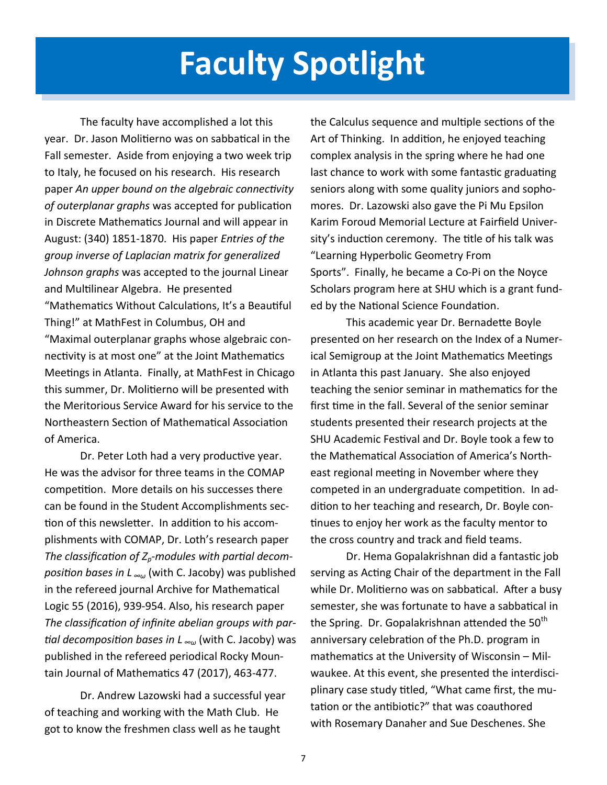### **Faculty Spotlight**

The faculty have accomplished a lot this year. Dr. Jason Molitierno was on sabbatical in the Fall semester. Aside from enjoying a two week trip to Italy, he focused on his research. His research paper *An upper bound on the algebraic connectivity of outerplanar graphs* was accepted for publication in Discrete Mathematics Journal and will appear in August: (340) 1851-1870. His paper *Entries of the group inverse of Laplacian matrix for generalized Johnson graphs* was accepted to the journal Linear and Multilinear Algebra. He presented "Mathematics Without Calculations, It's a Beautiful Thing!" at MathFest in Columbus, OH and "Maximal outerplanar graphs whose algebraic connectivity is at most one" at the Joint Mathematics Meetings in Atlanta. Finally, at MathFest in Chicago this summer, Dr. Molitierno will be presented with the Meritorious Service Award for his service to the Northeastern Section of Mathematical Association of America.

Dr. Peter Loth had a very productive year. He was the advisor for three teams in the COMAP competition. More details on his successes there can be found in the Student Accomplishments section of this newsletter. In addition to his accomplishments with COMAP, Dr. Loth's research paper *The classification of Zp-modules with partial decomposition bases in L ∞ω* (with C. Jacoby) was published in the refereed journal Archive for Mathematical Logic 55 (2016), 939-954. Also, his research paper *The classification of infinite abelian groups with partial decomposition bases in L ∞ω* (with C. Jacoby) was published in the refereed periodical Rocky Mountain Journal of Mathematics 47 (2017), 463-477.

Dr. Andrew Lazowski had a successful year of teaching and working with the Math Club. He got to know the freshmen class well as he taught

the Calculus sequence and multiple sections of the Art of Thinking. In addition, he enjoyed teaching complex analysis in the spring where he had one last chance to work with some fantastic graduating seniors along with some quality juniors and sophomores. Dr. Lazowski also gave the Pi Mu Epsilon Karim Foroud Memorial Lecture at Fairfield University's induction ceremony. The title of his talk was "Learning Hyperbolic Geometry From Sports". Finally, he became a Co-Pi on the Noyce Scholars program here at SHU which is a grant funded by the National Science Foundation.

This academic year Dr. Bernadette Boyle presented on her research on the Index of a Numerical Semigroup at the Joint Mathematics Meetings in Atlanta this past January. She also enjoyed teaching the senior seminar in mathematics for the first time in the fall. Several of the senior seminar students presented their research projects at the SHU Academic Festival and Dr. Boyle took a few to the Mathematical Association of America's Northeast regional meeting in November where they competed in an undergraduate competition. In addition to her teaching and research, Dr. Boyle continues to enjoy her work as the faculty mentor to the cross country and track and field teams.

Dr. Hema Gopalakrishnan did a fantastic job serving as Acting Chair of the department in the Fall while Dr. Molitierno was on sabbatical. After a busy semester, she was fortunate to have a sabbatical in the Spring. Dr. Gopalakrishnan attended the  $50<sup>th</sup>$ anniversary celebration of the Ph.D. program in mathematics at the University of Wisconsin – Milwaukee. At this event, she presented the interdisciplinary case study titled, "What came first, the mutation or the antibiotic?" that was coauthored with Rosemary Danaher and Sue Deschenes. She

7